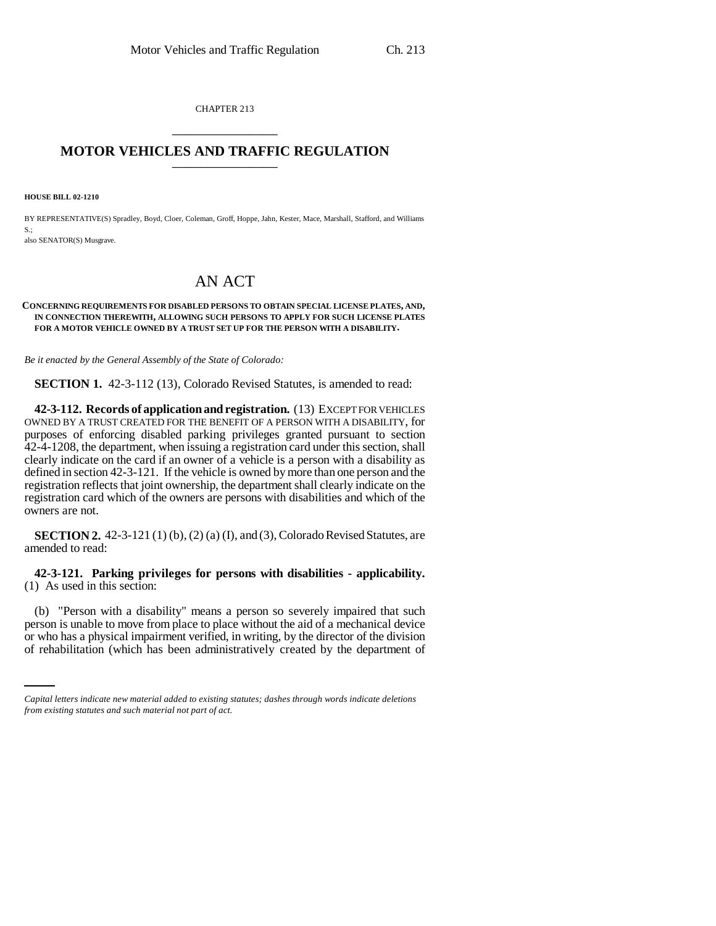CHAPTER 213 \_\_\_\_\_\_\_\_\_\_\_\_\_\_\_

## **MOTOR VEHICLES AND TRAFFIC REGULATION** \_\_\_\_\_\_\_\_\_\_\_\_\_\_\_

**HOUSE BILL 02-1210**

 $S.$ 

BY REPRESENTATIVE(S) Spradley, Boyd, Cloer, Coleman, Groff, Hoppe, Jahn, Kester, Mace, Marshall, Stafford, and Williams

also SENATOR(S) Musgrave.

# AN ACT

#### **CONCERNING REQUIREMENTS FOR DISABLED PERSONS TO OBTAIN SPECIAL LICENSE PLATES, AND, IN CONNECTION THEREWITH, ALLOWING SUCH PERSONS TO APPLY FOR SUCH LICENSE PLATES FOR A MOTOR VEHICLE OWNED BY A TRUST SET UP FOR THE PERSON WITH A DISABILITY.**

*Be it enacted by the General Assembly of the State of Colorado:*

**SECTION 1.** 42-3-112 (13), Colorado Revised Statutes, is amended to read:

**42-3-112. Records of application and registration.** (13) EXCEPT FOR VEHICLES OWNED BY A TRUST CREATED FOR THE BENEFIT OF A PERSON WITH A DISABILITY, for purposes of enforcing disabled parking privileges granted pursuant to section 42-4-1208, the department, when issuing a registration card under this section, shall clearly indicate on the card if an owner of a vehicle is a person with a disability as defined in section 42-3-121. If the vehicle is owned by more than one person and the registration reflects that joint ownership, the department shall clearly indicate on the registration card which of the owners are persons with disabilities and which of the owners are not.

**SECTION 2.** 42-3-121 (1) (b), (2) (a) (I), and (3), Colorado Revised Statutes, are amended to read:

### **42-3-121. Parking privileges for persons with disabilities - applicability.** (1) As used in this section:

person is unable to move from place to place without the aid of a mechanical device (b) "Person with a disability" means a person so severely impaired that such or who has a physical impairment verified, in writing, by the director of the division of rehabilitation (which has been administratively created by the department of

*Capital letters indicate new material added to existing statutes; dashes through words indicate deletions from existing statutes and such material not part of act.*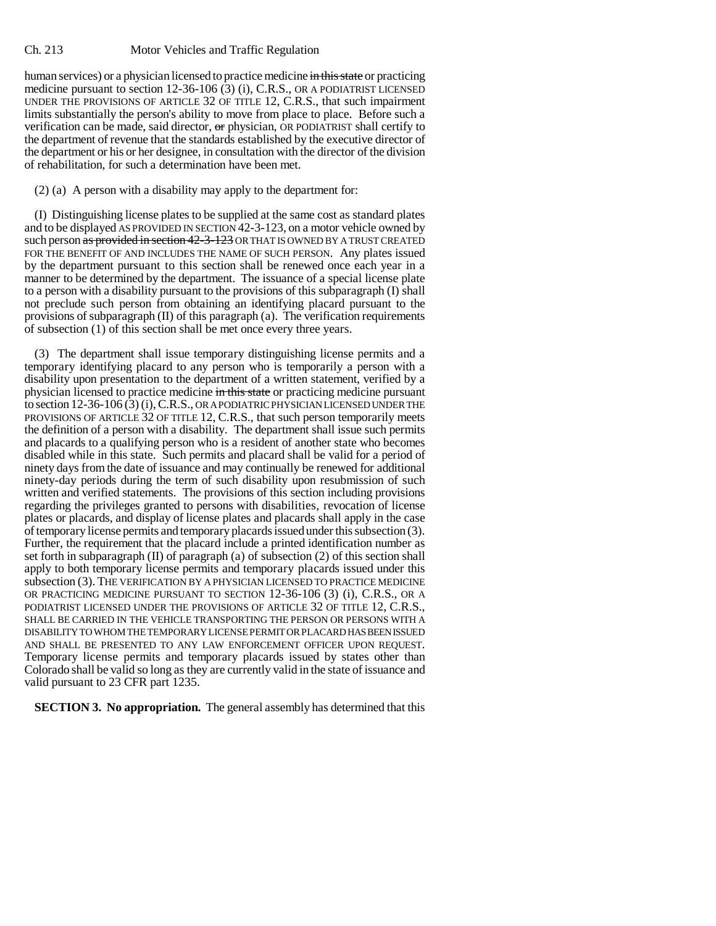human services) or a physician licensed to practice medicine in this state or practicing medicine pursuant to section 12-36-106 (3) (i), C.R.S., OR A PODIATRIST LICENSED UNDER THE PROVISIONS OF ARTICLE 32 OF TITLE 12, C.R.S., that such impairment limits substantially the person's ability to move from place to place. Before such a verification can be made, said director, or physician, OR PODIATRIST shall certify to the department of revenue that the standards established by the executive director of the department or his or her designee, in consultation with the director of the division of rehabilitation, for such a determination have been met.

## (2) (a) A person with a disability may apply to the department for:

(I) Distinguishing license plates to be supplied at the same cost as standard plates and to be displayed AS PROVIDED IN SECTION 42-3-123, on a motor vehicle owned by such person as provided in section 42-3-123 OR THAT IS OWNED BY A TRUST CREATED FOR THE BENEFIT OF AND INCLUDES THE NAME OF SUCH PERSON. Any plates issued by the department pursuant to this section shall be renewed once each year in a manner to be determined by the department. The issuance of a special license plate to a person with a disability pursuant to the provisions of this subparagraph (I) shall not preclude such person from obtaining an identifying placard pursuant to the provisions of subparagraph (II) of this paragraph (a). The verification requirements of subsection (1) of this section shall be met once every three years.

(3) The department shall issue temporary distinguishing license permits and a temporary identifying placard to any person who is temporarily a person with a disability upon presentation to the department of a written statement, verified by a physician licensed to practice medicine in this state or practicing medicine pursuant to section 12-36-106 (3) (i), C.R.S., OR A PODIATRIC PHYSICIAN LICENSED UNDER THE PROVISIONS OF ARTICLE 32 OF TITLE 12, C.R.S., that such person temporarily meets the definition of a person with a disability. The department shall issue such permits and placards to a qualifying person who is a resident of another state who becomes disabled while in this state. Such permits and placard shall be valid for a period of ninety days from the date of issuance and may continually be renewed for additional ninety-day periods during the term of such disability upon resubmission of such written and verified statements. The provisions of this section including provisions regarding the privileges granted to persons with disabilities, revocation of license plates or placards, and display of license plates and placards shall apply in the case of temporary license permits and temporary placards issued under this subsection (3). Further, the requirement that the placard include a printed identification number as set forth in subparagraph (II) of paragraph (a) of subsection (2) of this section shall apply to both temporary license permits and temporary placards issued under this subsection (3). THE VERIFICATION BY A PHYSICIAN LICENSED TO PRACTICE MEDICINE OR PRACTICING MEDICINE PURSUANT TO SECTION 12-36-106 (3) (i), C.R.S., OR A PODIATRIST LICENSED UNDER THE PROVISIONS OF ARTICLE 32 OF TITLE 12, C.R.S., SHALL BE CARRIED IN THE VEHICLE TRANSPORTING THE PERSON OR PERSONS WITH A DISABILITY TO WHOM THE TEMPORARY LICENSE PERMIT OR PLACARD HAS BEEN ISSUED AND SHALL BE PRESENTED TO ANY LAW ENFORCEMENT OFFICER UPON REQUEST. Temporary license permits and temporary placards issued by states other than Colorado shall be valid so long as they are currently valid in the state of issuance and valid pursuant to 23 CFR part 1235.

**SECTION 3. No appropriation.** The general assembly has determined that this